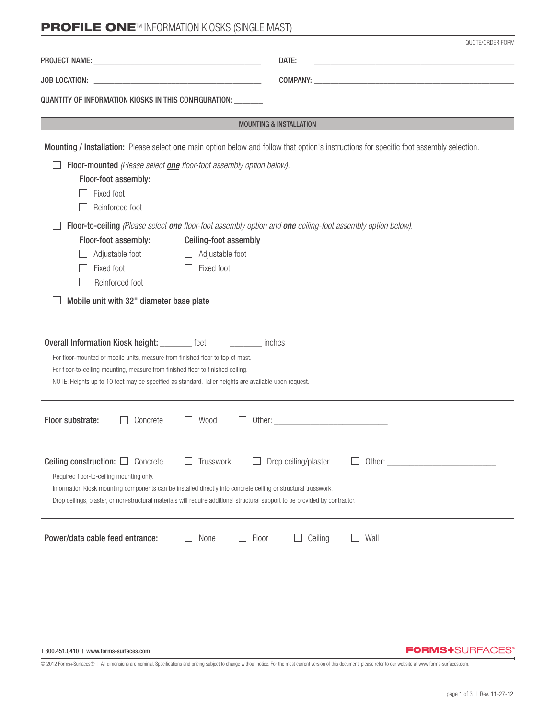# **PROFILE ONE™ INFORMATION KIOSKS (SINGLE MAST)**

|                                                                                                                                                                                                                                                                                                                                                              | QUOTE/ORDER FORM                                                                                                                         |  |  |  |  |
|--------------------------------------------------------------------------------------------------------------------------------------------------------------------------------------------------------------------------------------------------------------------------------------------------------------------------------------------------------------|------------------------------------------------------------------------------------------------------------------------------------------|--|--|--|--|
|                                                                                                                                                                                                                                                                                                                                                              | DATE:                                                                                                                                    |  |  |  |  |
|                                                                                                                                                                                                                                                                                                                                                              |                                                                                                                                          |  |  |  |  |
| QUANTITY OF INFORMATION KIOSKS IN THIS CONFIGURATION: _____                                                                                                                                                                                                                                                                                                  |                                                                                                                                          |  |  |  |  |
|                                                                                                                                                                                                                                                                                                                                                              | <b>MOUNTING &amp; INSTALLATION</b>                                                                                                       |  |  |  |  |
|                                                                                                                                                                                                                                                                                                                                                              | Mounting / Installation: Please select one main option below and follow that option's instructions for specific foot assembly selection. |  |  |  |  |
| Floor-mounted (Please select one floor-foot assembly option below).                                                                                                                                                                                                                                                                                          |                                                                                                                                          |  |  |  |  |
| Floor-foot assembly:                                                                                                                                                                                                                                                                                                                                         |                                                                                                                                          |  |  |  |  |
| Fixed foot                                                                                                                                                                                                                                                                                                                                                   |                                                                                                                                          |  |  |  |  |
| Reinforced foot                                                                                                                                                                                                                                                                                                                                              |                                                                                                                                          |  |  |  |  |
| Floor-to-ceiling (Please select one floor-foot assembly option and one ceiling-foot assembly option below).                                                                                                                                                                                                                                                  |                                                                                                                                          |  |  |  |  |
| Floor-foot assembly:<br>Ceiling-foot assembly                                                                                                                                                                                                                                                                                                                |                                                                                                                                          |  |  |  |  |
| Adjustable foot<br>Adjustable foot                                                                                                                                                                                                                                                                                                                           |                                                                                                                                          |  |  |  |  |
| Fixed foot<br>Fixed foot<br>Reinforced foot                                                                                                                                                                                                                                                                                                                  |                                                                                                                                          |  |  |  |  |
|                                                                                                                                                                                                                                                                                                                                                              |                                                                                                                                          |  |  |  |  |
| Mobile unit with 32" diameter base plate                                                                                                                                                                                                                                                                                                                     |                                                                                                                                          |  |  |  |  |
| Overall Information Kiosk height: ________ feet<br><b>Exercise Structures</b><br>For floor-mounted or mobile units, measure from finished floor to top of mast.<br>For floor-to-ceiling mounting, measure from finished floor to finished ceiling.<br>NOTE: Heights up to 10 feet may be specified as standard. Taller heights are available upon request.   |                                                                                                                                          |  |  |  |  |
| Floor substrate:<br>Concrete<br>Wood                                                                                                                                                                                                                                                                                                                         |                                                                                                                                          |  |  |  |  |
| Ceiling construction:<br>Concrete<br>Trusswork<br>$\mathbf{I}$<br>Required floor-to-ceiling mounting only.<br>Information Kiosk mounting components can be installed directly into concrete ceiling or structural trusswork.<br>Drop ceilings, plaster, or non-structural materials will require additional structural support to be provided by contractor. | Drop ceiling/plaster<br>Other: $\_\_$                                                                                                    |  |  |  |  |
| Power/data cable feed entrance:<br>None                                                                                                                                                                                                                                                                                                                      | Ceiling<br>Wall<br>Floor                                                                                                                 |  |  |  |  |

T 800.451.0410 | www.forms-surfaces.com

#### **FORMS+**SURFACES®

© 2012 Forms+Surfaces® | All dimensions are nominal. Specifications and pricing subject to change without notice. For the most current version of this document, please refer to our website at www.forms-surfaces.com.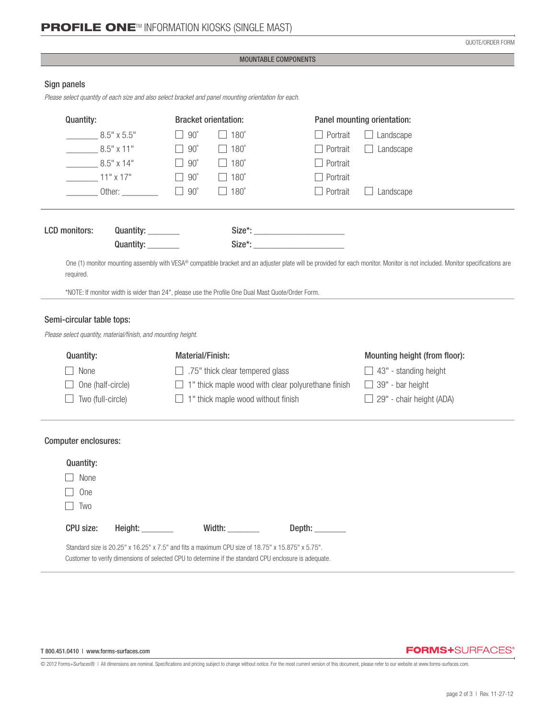QUOTE/ORDER FORM

#### MOUNTABLE COMPONENTS

# Sign panels

*Please select quantity of each size and also select bracket and panel mounting orientation for each.*

| Quantity:                                                                                                                                                                                                                                                                                      |                                                                                                  |                  | <b>Bracket orientation:</b>                               |                                                                                                       | Panel mounting orientation:   |  |
|------------------------------------------------------------------------------------------------------------------------------------------------------------------------------------------------------------------------------------------------------------------------------------------------|--------------------------------------------------------------------------------------------------|------------------|-----------------------------------------------------------|-------------------------------------------------------------------------------------------------------|-------------------------------|--|
|                                                                                                                                                                                                                                                                                                | $8.5" \times 5.5"$                                                                               | $90^\circ$       | $\Box$ 180 $^{\circ}$                                     | Portrait                                                                                              | $\Box$ Landscape              |  |
|                                                                                                                                                                                                                                                                                                | $8.5" \times 11"$                                                                                | $90^\circ$       | $\Box$ 180 $^{\circ}$                                     | Portrait                                                                                              | Landscape                     |  |
|                                                                                                                                                                                                                                                                                                | $8.5" \times 14"$                                                                                | $90^{\circ}$     | $\Box$ 180 $^{\circ}$                                     | Portrait                                                                                              |                               |  |
| $11" \times 17"$                                                                                                                                                                                                                                                                               |                                                                                                  | $90^{\circ}$     | $\Box$ 180 $^{\circ}$                                     | Portrait                                                                                              |                               |  |
|                                                                                                                                                                                                                                                                                                | Other: $\_\_$                                                                                    | $90^{\circ}$     | $\Box$ 180 $^{\circ}$                                     | Portrait                                                                                              | Landscape                     |  |
| <b>LCD</b> monitors:                                                                                                                                                                                                                                                                           | Quantity: ________                                                                               |                  |                                                           |                                                                                                       |                               |  |
|                                                                                                                                                                                                                                                                                                | Quantity: ________                                                                               |                  |                                                           | Size*:                                                                                                |                               |  |
| One (1) monitor mounting assembly with VESA® compatible bracket and an adjuster plate will be provided for each monitor. Monitor is not included. Monitor specifications are<br>required.<br>*NOTE: If monitor width is wider than 24", please use the Profile One Dual Mast Quote/Order Form. |                                                                                                  |                  |                                                           |                                                                                                       |                               |  |
| Semi-circular table tops:<br>Quantity:                                                                                                                                                                                                                                                         | Please select quantity, material/finish, and mounting height.                                    | Material/Finish: |                                                           |                                                                                                       | Mounting height (from floor): |  |
| None                                                                                                                                                                                                                                                                                           |                                                                                                  |                  | .75" thick clear tempered glass                           |                                                                                                       | $\Box$ 43" - standing height  |  |
| One (half-circle)                                                                                                                                                                                                                                                                              |                                                                                                  |                  | $\Box$ 1" thick maple wood with clear polyurethane finish |                                                                                                       | $\Box$ 39" - bar height       |  |
| Two (full-circle)                                                                                                                                                                                                                                                                              |                                                                                                  |                  | $\Box$ 1" thick maple wood without finish                 |                                                                                                       | 29" - chair height (ADA)      |  |
| Computer enclosures:                                                                                                                                                                                                                                                                           |                                                                                                  |                  |                                                           |                                                                                                       |                               |  |
| <b>Quantity:</b>                                                                                                                                                                                                                                                                               |                                                                                                  |                  |                                                           |                                                                                                       |                               |  |
| None                                                                                                                                                                                                                                                                                           |                                                                                                  |                  |                                                           |                                                                                                       |                               |  |
| One                                                                                                                                                                                                                                                                                            |                                                                                                  |                  |                                                           |                                                                                                       |                               |  |
| Two                                                                                                                                                                                                                                                                                            |                                                                                                  |                  |                                                           |                                                                                                       |                               |  |
| CPU size:                                                                                                                                                                                                                                                                                      | Height: ________                                                                                 |                  | Width: $\_\_$                                             | Depth: _________                                                                                      |                               |  |
|                                                                                                                                                                                                                                                                                                | Standard size is 20.25" x 16.25" x 7.5" and fits a maximum CPU size of 18.75" x 15.875" x 5.75". |                  |                                                           | Customer to verify dimensions of selected CPU to determine if the standard CPU enclosure is adequate. |                               |  |

# **FORMS+**SURFACES®

© 2012 Forms+Surfaces® | All dimensions are nominal. Specifications and pricing subject to change without notice. For the most current version of this document, please refer to our website at www.forms-surfaces.com.